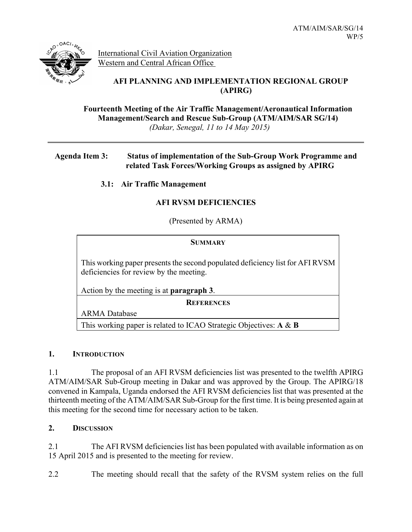

International Civil Aviation Organization Western and Central African Office

# **AFI PLANNING AND IMPLEMENTATION REGIONAL GROUP (APIRG)**

**Fourteenth Meeting of the Air Traffic Management/Aeronautical Information Management/Search and Rescue Sub-Group (ATM/AIM/SAR SG/14)** *(Dakar, Senegal, 11 to 14 May 2015)*

### **Agenda Item 3: Status of implementation of the Sub-Group Work Programme and related Task Forces/Working Groups as assigned by APIRG**

 **3.1: Air Traffic Management**

## **AFI RVSM DEFICIENCIES**

(Presented by ARMA)

| <b>SUMMARY</b>                                                                                                           |
|--------------------------------------------------------------------------------------------------------------------------|
|                                                                                                                          |
| This working paper presents the second populated deficiency list for AFI RVSM<br>deficiencies for review by the meeting. |
| Action by the meeting is at <b>paragraph 3</b> .                                                                         |
| <b>REFERENCES</b>                                                                                                        |

ARMA Database

This working paper is related to ICAO Strategic Objectives: **A** & **B**

## **1. INTRODUCTION**

1.1 The proposal of an AFI RVSM deficiencies list was presented to the twelfth APIRG ATM/AIM/SAR Sub-Group meeting in Dakar and was approved by the Group. The APIRG/18 convened in Kampala, Uganda endorsed the AFI RVSM deficiencies list that was presented at the thirteenth meeting of the ATM/AIM/SAR Sub-Group for the first time. It is being presented again at this meeting for the second time for necessary action to be taken.

#### **2. DISCUSSION**

2.1 The AFI RVSM deficiencies list has been populated with available information as on 15 April 2015 and is presented to the meeting for review.

2.2 The meeting should recall that the safety of the RVSM system relies on the full